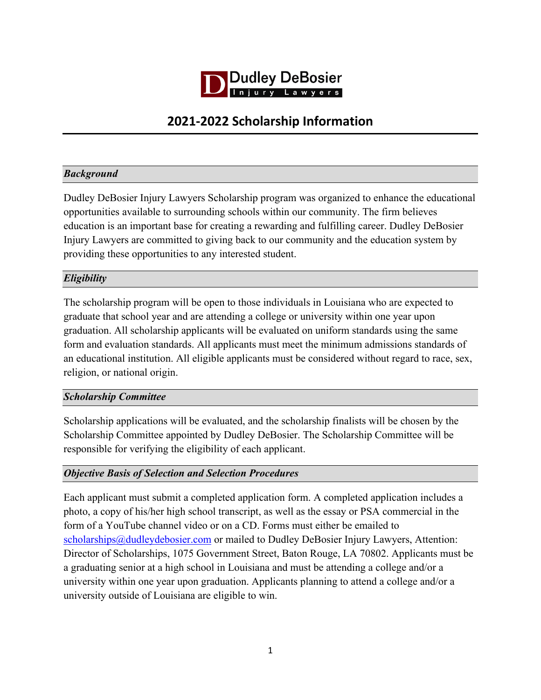

# **2021-2022 Scholarship Information**

## *Background*

Dudley DeBosier Injury Lawyers Scholarship program was organized to enhance the educational opportunities available to surrounding schools within our community. The firm believes education is an important base for creating a rewarding and fulfilling career. Dudley DeBosier Injury Lawyers are committed to giving back to our community and the education system by providing these opportunities to any interested student.

## *Eligibility*

The scholarship program will be open to those individuals in Louisiana who are expected to graduate that school year and are attending a college or university within one year upon graduation. All scholarship applicants will be evaluated on uniform standards using the same form and evaluation standards. All applicants must meet the minimum admissions standards of an educational institution. All eligible applicants must be considered without regard to race, sex, religion, or national origin.

#### *Scholarship Committee*

Scholarship applications will be evaluated, and the scholarship finalists will be chosen by the Scholarship Committee appointed by Dudley DeBosier. The Scholarship Committee will be responsible for verifying the eligibility of each applicant.

#### *Objective Basis of Selection and Selection Procedures*

Each applicant must submit a completed application form. A completed application includes a photo, a copy of his/her high school transcript, as well as the essay or PSA commercial in the form of a YouTube channel video or on a CD. Forms must either be emailed to scholarships@dudleydebosier.com or mailed to Dudley DeBosier Injury Lawyers, Attention: Director of Scholarships, 1075 Government Street, Baton Rouge, LA 70802. Applicants must be a graduating senior at a high school in Louisiana and must be attending a college and/or a university within one year upon graduation. Applicants planning to attend a college and/or a university outside of Louisiana are eligible to win.